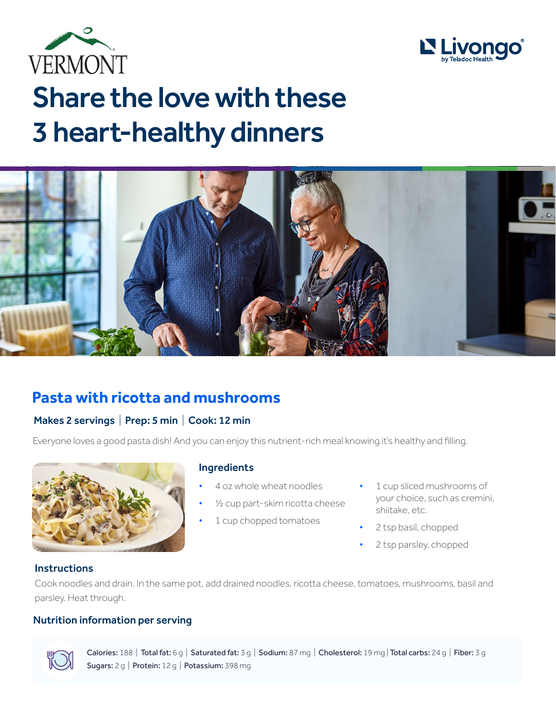



# Share the love with these 3 heart-healthy dinners



## **Pasta with ricotta and mushrooms**

#### Makes 2 servings | Prep: 5 min | Cook: 12 min

Everyone loves a good pasta dish! And you can enjoy this nutrient-rich meal knowing it's healthy and filling.



#### Ingredients

- 4 oz whole wheat noodles
- 1/<sub>2</sub> cup part-skim ricotta cheese
- 1 cup chopped tomatoes
- 1 cup sliced mushrooms of your choice, such as cremini, shiitake, etc.
- 2 tsp basil, chopped
- 2 tsp parsley, chopped

#### **Instructions**

Cook noodles and drain. In the same pot, add drained noodles, ricotta cheese, tomatoes, mushrooms, basil and parsley. Heat through.

#### Nutrition information per serving



Calories: 188 | Total fat: 6 g | Saturated fat: 3 g | Sodium: 87 mg | Cholesterol: 19 mg | Total carbs: 24 g | Fiber: 3 g Sugars: 2 g | Protein: 12 g | Potassium: 398 mg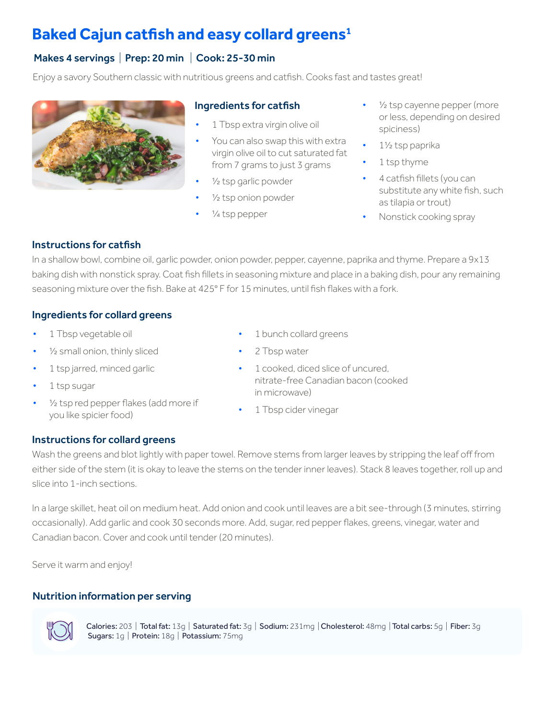## **Baked Cajun catfish and easy collard greens<sup>1</sup>**

#### Makes 4 servings | Prep: 20 min | Cook: 25-30 min

Enjoy a savory Southern classic with nutritious greens and catfish. Cooks fast and tastes great!



#### Ingredients for catfish

- 1 Tbsp extra virgin olive oil
- You can also swap this with extra virgin olive oil to cut saturated fat from 7 grams to just 3 grams
- $\frac{1}{2}$  tsp garlic powder
- $\frac{1}{2}$  tsp onion powder
- ¼ tsp pepper
- 1/<sub>2</sub> tsp cayenne pepper (more or less, depending on desired spiciness)
- 1½ tsp paprika
- 1 tsp thyme
- 4 catfish fillets (you can substitute any white fish, such as tilapia or trout)
- Nonstick cooking spray

#### Instructions for catfish

In a shallow bowl, combine oil, garlic powder, onion powder, pepper, cayenne, paprika and thyme. Prepare a 9x13 baking dish with nonstick spray. Coat fish fillets in seasoning mixture and place in a baking dish, pour any remaining seasoning mixture over the fish. Bake at 425° F for 15 minutes, until fish flakes with a fork.

#### Ingredients for collard greens

- 1 Tbsp vegetable oil
- 1/<sub>2</sub> small onion, thinly sliced
- 1 tsp jarred, minced garlic
- 1 tsp sugar
- 1/<sub>2</sub> tsp red pepper flakes (add more if you like spicier food)
- 1 bunch collard greens
- 2 Tbsp water
- 1 cooked, diced slice of uncured. nitrate-free Canadian bacon (cooked in microwave)
- 1 Tbsp cider vinegar

#### Instructions for collard greens

Wash the greens and blot lightly with paper towel. Remove stems from larger leaves by stripping the leaf off from either side of the stem (it is okay to leave the stems on the tender inner leaves). Stack 8 leaves together, roll up and slice into 1-inch sections.

In a large skillet, heat oil on medium heat. Add onion and cook until leaves are a bit see-through (3 minutes, stirring occasionally). Add garlic and cook 30 seconds more. Add, sugar, red pepper flakes, greens, vinegar, water and Canadian bacon. Cover and cook until tender (20 minutes).

Serve it warm and enjoy!

#### Nutrition information per serving



Calories: 203 | Total fat: 13g | Saturated fat: 3g | Sodium: 231mg | Cholesterol: 48mg | Total carbs: 5g | Fiber: 3g Sugars: 1g | Protein: 18g | Potassium: 75mg